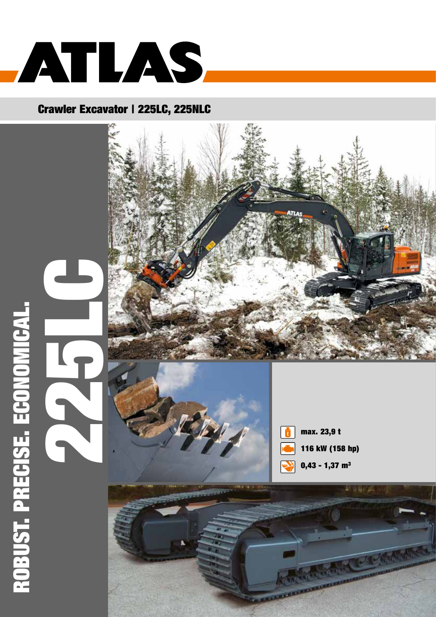

## Crawler Excavator | 225LC, 225NLC







max. 23,9 t 116 kW (158 hp) 0,43 - 1,37 m $3$ 

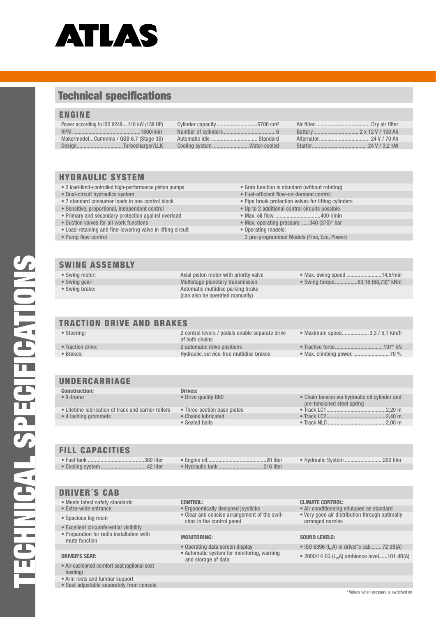

## Technical specifications

## ENGINE

| Power according to ISO 9249116 kW (158 HP) |                             |  |
|--------------------------------------------|-----------------------------|--|
|                                            |                             |  |
| Make/modelCummins / QSB 6.7 (Stage 3B)     |                             |  |
| DesignTurbocharger/LLK                     | Cooling system Water-cooled |  |
|                                            |                             |  |

## HYDRAULIC SYSTEM

- 2 load-limit-controlled high-performance piston pumps Grab function is standard (without rotating)
- Dual-circuit hydraulics system Fuel-efficient flow-on-demand control
- 
- $\bullet$  Sensitive, proportional, independent control
- Primary and secondary protection against overload Max. oil flow. ................................400 l/min
- 
- Load-retaining and fine-lowering valve in lifting circuit Operating models:
- 

### SWING ASSEMBLY

- 
- 
- 

• Swing motor: Axial piston motor with priority valve • Max. swing speed .........................14,5/min • Swing gear: Multistage planetary transmission • Swing torque................63,16 (68,73)\* kNm

- 
- 7 standard consumer loads in one control block Pipe break protection valves for lifting cylinders<br>• Sensitive, proportional, independent control block Up to 2 additional control circuits possible
	-
	-
	- Max. operating pressure. ..... 340 (370) $*$  bar
	-
	- 3 pre-programmed Models (Fine, Eco, Power)

- 
- 
- 

• Swing brake: **Automatic multidisc parking brake** (can also be operated manually)

- 
- 

| <b>TRACTION DRIVE AND BRAKES</b> |                                                                   |                                |
|----------------------------------|-------------------------------------------------------------------|--------------------------------|
| • Steering:                      | 2 control levers / pedals enable separate drive<br>of both chains | • Maximum speed 3,3 / 5,1 km/h |
| • Traction drive:                | 2 automatic drive positions                                       |                                |
| • Brakes:                        | Hydraulic, service-free multidisc brakes                          |                                |
|                                  |                                                                   |                                |

## UNDERCARRIAGE

| <b>Construction:</b>                                | Drives:                     |                                                                              |
|-----------------------------------------------------|-----------------------------|------------------------------------------------------------------------------|
| $\bullet$ X-frame                                   | • Drive quality B60         | • Chain tension via hydraulic oil cylinder and<br>pre-tensioned steel spring |
| • Lifetime lubrication of track and carrier rollers | • Three-section base plates |                                                                              |
| • 4 lashing grommets                                | • Chains lubricated         |                                                                              |
|                                                     | • Sealed bolts              |                                                                              |
|                                                     |                             |                                                                              |
|                                                     |                             |                                                                              |
|                                                     |                             |                                                                              |

## FILL CAPACITIES

|  |  | • Hydraulic System 290 liter |  |
|--|--|------------------------------|--|
|  |  |                              |  |

## DRIVER´S CAB

• Cooling system.

- Meets latest safety standards **CONTROL:** CONTROL:<br>• Extra-wide entrance **CONTROL:** Ergonomically designed joysticks Air conditioneing
- 
- 
- Excellent circumferential visibility
- Preparation for radio installation with mute function and instantation with **MONITORING:** MONITORING: SOUND LEVELS:

- Air-cushioned comfort seat (optional seat heating)
- Arm rests and lumbar support
- Seat adjustable separately from console
- 
- 
- Spacious leg room Clear and concise arrangement of the switches in the control panel

DRIVER'S SEAT: • Automatic system for monitoring, warning

- Air conditioneing eduipped as standard
- Very good air distribution through optimally arranged nozzles

- Operating data screen display ISO 6396 (L<sub>p</sub>A) in driver's cab ....... 72 dB(A)
	- 2000/14 EG (L<sub>w</sub>A) ambience level......101 dB(A)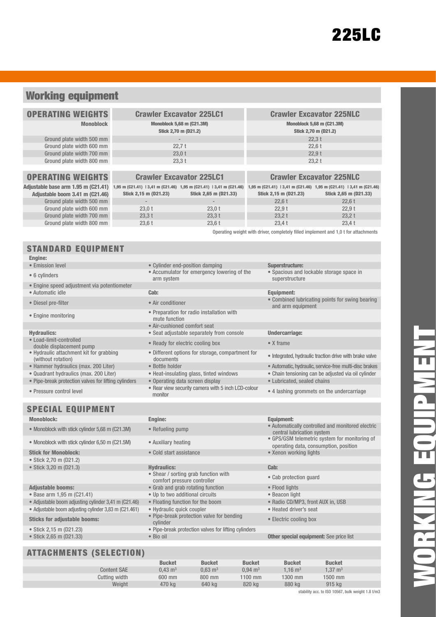## Working equipment

| <b>OPERATING WEIGHTS</b>                                                                              |                       | <b>Crawler Excavator 225LC1</b>                          | <b>Crawler Excavator 225NLC</b>                                     |                                 |  |  |
|-------------------------------------------------------------------------------------------------------|-----------------------|----------------------------------------------------------|---------------------------------------------------------------------|---------------------------------|--|--|
| <b>Monoblock</b>                                                                                      |                       | <b>Monoblock 5,68 m (C21.3M)</b><br>Stick 2,70 m (D21.2) | <b>Monoblock 5,68 m (C21.3M)</b><br>Stick 2,70 m (D21.2)            |                                 |  |  |
| Ground plate width 500 mm                                                                             |                       | $\overline{\phantom{a}}$                                 | 22.3t                                                               |                                 |  |  |
| Ground plate width 600 mm                                                                             |                       | 22.7t                                                    | 22,6t                                                               |                                 |  |  |
| Ground plate width 700 mm                                                                             |                       | 23,0t                                                    | 22.9t                                                               |                                 |  |  |
| Ground plate width 800 mm                                                                             |                       | 23,3t                                                    | 23,2 t                                                              |                                 |  |  |
|                                                                                                       |                       |                                                          |                                                                     |                                 |  |  |
| <b>OPERATING WEIGHTS</b>                                                                              |                       | <b>Crawler Excavator 225LC1</b>                          |                                                                     | <b>Crawler Excavator 225NLC</b> |  |  |
| Adjustable base arm 1.95 m (C21.41) 1,95 m (C21.41) 13,41 m (C21.46) 1,95 m (C21.41) 13,41 m (C21.46) |                       |                                                          | 1,95 m (C21.41)   3,41 m (C21.46) 1,95 m (C21.41)   3,41 m (C21.46) |                                 |  |  |
| Adjustable boom 3.41 m (C21.46)                                                                       | Stick 2,15 m (D21.23) | Stick 2,65 m (D21.33)                                    | Stick 2,15 m (D21.23)                                               | Stick 2,65 m (D21.33)           |  |  |
| Ground plate width 500 mm                                                                             | $\sim$                | $\overline{\phantom{a}}$                                 | 22.6t                                                               | 22.6t                           |  |  |
| Ground plate width 600 mm                                                                             | 23,0t                 | $23,0$ t                                                 | 22,9t                                                               | 22,9t                           |  |  |

Ground plate width 700 mm  $23.3 \text{ t}$   $23.3 \text{ t}$   $23.3 \text{ t}$   $23.2 \text{ t}$   $23.2 \text{ t}$   $23.2 \text{ t}$   $23.3 \text{ t}$ Ground plate width 800 mm 23,6 t 23,6 t 23,6 t 23,4 t 23,4 t 23,4 t

## STANDARD EQUIPMENT

### Engine:

- Emission level  **Cylinder end-position damping Superstructure:**
- 
- 
- Engine speed adjustment via potentiometer
- 
- 
- 
- 
- Load-limit-controlled
- Hydraulic attachment kit for grabbing
- (without rotation)
- 
- 
- Pipe-break protection valves for lifting cylinders
- 

## SPECIAL EQUIPMENT

### Monoblock: Engine: Equipment:

- 
- Monoblock with stick cylinder 6,50 m (C21.5M) Auxiliary heating
- Stick for Monoblock: Cold start assistance
- Stick 2,70 m (D21.2)
- Stick 3,20 m (D21.3) Hydraulics: Cab:

### Adjustable booms: • Grab and grab rotating function

- 
- Base arm 1,95 m (C21.41) Up to two additional circuits Beacon light<br>• Adiustable boom adiusting cylinder 3.41 m (C21.46) Floating function for the boom Radio CD/MP3. front AUX in. USB • Adjustable boom adjusting cylinder 3,41 m (C21.46) • Floating function for the boom
- Adjustable boom adjusting cylinder 3,83 m (C21.461) Hydraulic quick coupler Heated driver's seat

## Sticks for adjustable booms: • Pipe-break protection valve for bending

- Stick 2.15 m (D21.23) Pipe-break protection valves for lifting cylinders
- 

## ATTACHMENTS (SELECTION)

| • 6 cylinders                               | • Accumulator for emergency lowering of the<br>arm system | • Spacious a<br>superstruc  |
|---------------------------------------------|-----------------------------------------------------------|-----------------------------|
| • Engine speed adjustment via potentiometer |                                                           |                             |
| • Automatic idle                            | Cab:                                                      | <b>Equipment:</b>           |
|                                             |                                                           | $\sim$ $\sim$ $\sim$ $\sim$ |

- 
- Engine monitoring Preparation for radio installation with mute function
	- Air-cushioned comfort seat
- Hydraulics: Seat adjustable separately from console Undercarriage:
- double displacement pump Ready for electric cooling box X frame
	- Different options for storage, compartment for of the grated, hydraulic traction drive with brake valve<br>documents
	-
	-
	-

• Shear / sorting grab function with

• Pressure control level • Rear view security camera with 5 inch LCD-colour

### • Spacious and lockable storage space in

Operating weight with driver, completely filled implement and 1,0 t for attachments

superstructure

• Diesel pre-filter • Combined lubricating points for swing bearing • Combined lubricating points for swing bearing and arm equipment

- 
- 
- Hammer hydraulics (max. 200 Liter) Bottle holder Bottle holder Automatic, hydraulic, service-free multi-disc brakes
- Quadrant hydraulics (max. 200 Liter) Heat-insulating glass, tinted windows Chain tensioning can be adjusted via oil cylinder<br>• Pipe-break protection valves for lifting cylinders Operating data screen display Lubr
	-
	- 4 lashing grommets on the undercarriage
- Monoblock with stick cylinder 5,68 m (C21.3M) Refueling pump Automatically controlled and monitored electric
	- central lubrication system<br>• GPS/GSM telemetric system for monitoring of operating data, consumption, position<br>• Xenon working lights
	-

- Shear / sorting grap function with<br>
comfort pressure controller<br>
Grab and grab rotating function<br>
 Flood lights
	-
	-
	-
	-
	- Electric cooling box

### • Stick 2,65 m (D21.33) • Bio oil • Bio oil **Other special equipment:** See price list

| AI IAUNIMENTS (SELEUTIUN) |                    |                    |                    |               |                     |  |
|---------------------------|--------------------|--------------------|--------------------|---------------|---------------------|--|
|                           | <b>Bucket</b>      | <b>Bucket</b>      | <b>Bucket</b>      | <b>Bucket</b> | <b>Bucket</b>       |  |
| <b>Content SAE</b>        | $0.43 \text{ m}^3$ | $0.63 \text{ m}^3$ | $0.94 \text{ m}^3$ | 1.16 $m3$     | 1.37 m <sup>3</sup> |  |
| Cutting width             | 600 mm             | 800 mm             | $1100$ mm          | 1300 mm       | 1500 mm             |  |
| Weight                    | 470 kg             | 640 kg             | 820 kg             | 880 kg        | 915 kg              |  |
|                           |                    |                    |                    |               |                     |  |

stability acc. to ISO 10567, bulk weight 1.8 t/m3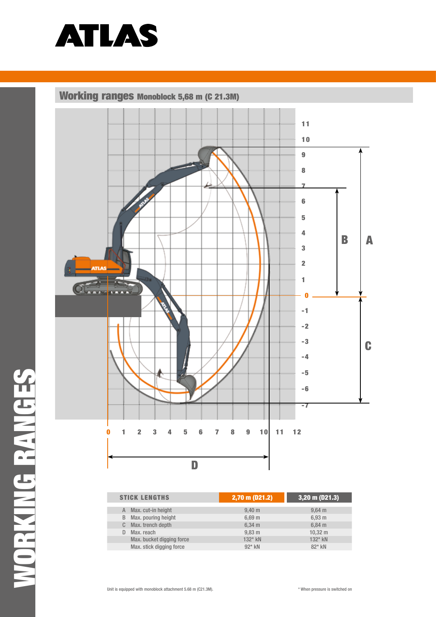

Working ranges Monoblock 5,68 m (C 21.3M)



| <b>STICK LENGTHS</b>      | $2,70$ m (D21.2)   | $(3,20 \text{ m} (D21.3))$ |
|---------------------------|--------------------|----------------------------|
| Max. cut-in height        | $9,40 \; m$        | $9,64 \, m$                |
| Max. pouring height<br>B  | $6,69 \; m$        | 6,93 m                     |
| Max. trench depth         | $6,34 \, m$        | $6,84 \, m$                |
| Max. reach                | $9,83 \, \text{m}$ | $10,32 \; \text{m}$        |
| Max. bucket digging force | $132*$ kN          | 132* kN                    |
| Max. stick digging force  | $92*$ kN           | 82* kN                     |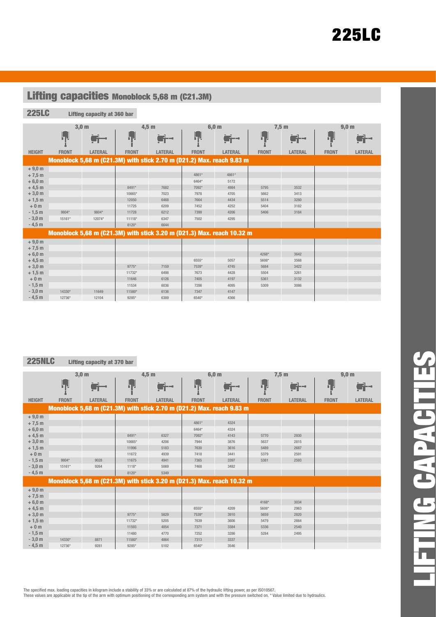# 225LC

 $\mathcal{L}$ 

| <b>Lifting capacities Monoblock 5,68 m (C21.3M)</b> |              |                             |              |                                                                        |              |                  |              |                |              |                  |
|-----------------------------------------------------|--------------|-----------------------------|--------------|------------------------------------------------------------------------|--------------|------------------|--------------|----------------|--------------|------------------|
| <b>225LC</b>                                        |              | Lifting capacity at 360 bar |              |                                                                        |              |                  |              |                |              |                  |
|                                                     |              |                             |              |                                                                        |              |                  |              |                |              |                  |
|                                                     |              | 3,0 <sub>m</sub>            |              | $4,5$ m                                                                |              | 6,0 <sub>m</sub> |              | $7,5$ m        |              | 9,0 <sub>m</sub> |
|                                                     | h e          | ij -                        | ┠╻┚          |                                                                        | ┠╻┛          |                  | <u>ել Լ</u>  |                | ╘┓╝          |                  |
| <b>HEIGHT</b>                                       | <b>FRONT</b> | <b>LATERAL</b>              | <b>FRONT</b> | <b>LATERAL</b>                                                         | <b>FRONT</b> | <b>LATERAL</b>   | <b>FRONT</b> | <b>LATERAL</b> | <b>FRONT</b> | <b>LATERAL</b>   |
|                                                     |              |                             |              | Monoblock 5,68 m (C21.3M) with stick 2.70 m (D21.2) Max. reach 9.83 m  |              |                  |              |                |              |                  |
| $+9,0 m$                                            |              |                             |              |                                                                        |              |                  |              |                |              |                  |
| $+7,5$ m                                            |              |                             |              |                                                                        | 4861*        | 4861*            |              |                |              |                  |
| $+6,0 m$                                            |              |                             |              |                                                                        | 6464*        | 5172             |              |                |              |                  |
| $+4,5$ m                                            |              |                             | 8491*        | 7682                                                                   | 7092*        | 4984             | 5795         | 3532           |              |                  |
| $+3,0 m$                                            |              |                             | 10665*       | 7023                                                                   | 7978         | 4705             | 5662         | 3413           |              |                  |
| $+1,5$ m                                            |              |                             | 12050        | 6468                                                                   | 7664         | 4434             | 5514         | 3280           |              |                  |
| $+0m$                                               |              |                             | 11725        | 6209                                                                   | 7452         | 4252             | 5404         | 3182           |              |                  |
| $-1,5$ m                                            | 9804*        | 9804*                       | 11728        | 6212                                                                   | 7399         | 4206             | 5406         | 3184           |              |                  |
| $-3,0 m$                                            | 15161*       | 12074*                      | 11118*       | 6347                                                                   | 7502         | 4295             |              |                |              |                  |
| $-4,5$ m                                            |              |                             | 8120*        | 6644                                                                   |              |                  |              |                |              |                  |
|                                                     |              |                             |              | Monoblock 5,68 m (C21.3M) with stick 3.20 m (D21.3) Max. reach 10.32 m |              |                  |              |                |              |                  |
| $+9,0 m$                                            |              |                             |              |                                                                        |              |                  |              |                |              |                  |
| $+7,5$ m                                            |              |                             |              |                                                                        |              |                  |              |                |              |                  |
| $+6,0 m$                                            |              |                             |              |                                                                        |              |                  | 4268*        | 3642           |              |                  |
| $+4,5$ m                                            |              |                             |              |                                                                        | 6555*        | 5057             | 5608*        | 3568           |              |                  |
| $+3,0 m$                                            |              |                             | 9775*        | 7159                                                                   | 7539*        | 4745             | 5684         | 3422           |              |                  |
| $+1,5$ m                                            |              |                             | 11732*       | 6498                                                                   | 7673         | 4428             | 5504         | 3261           |              |                  |
| $+0m$                                               |              |                             | 11646        | 6126                                                                   | 7405         | 4197             | 5361         | 3132           |              |                  |
| $-1,5m$                                             |              |                             | 11534        | 6036                                                                   | 7286         | 4095             | 5309         | 3086           |              |                  |
| $-3,0 m$                                            | 14330*       | 11649                       | 11580*       | 6136                                                                   | 7347         | 4147             |              |                |              |                  |
| $-4,5$ m                                            | 12736*       | 12104                       | 9285*        | 6389                                                                   | 6540*        | 4366             |              |                |              |                  |

## **225NLC** Lifting capacity at 370 bar

 $\sim$ 

|               |              | 3,0 <sub>m</sub>                                                       |              | $4,5$ m        |              | 6,0 m          |              | 7,5m           |              | 9,0 <sub>m</sub> |
|---------------|--------------|------------------------------------------------------------------------|--------------|----------------|--------------|----------------|--------------|----------------|--------------|------------------|
|               | ┠╻┚          | $\blacksquare$                                                         | ┠╻┛          | r –            | hч           | s –            | Ь,           | an di se       | Ь,           |                  |
| <b>HEIGHT</b> | <b>FRONT</b> | LATERAL                                                                | <b>FRONT</b> | <b>LATERAL</b> | <b>FRONT</b> | <b>LATERAL</b> | <b>FRONT</b> | <b>LATERAL</b> | <b>FRONT</b> | LATERAL          |
|               |              | Monoblock 5,68 m (C21.3M) with stick 2.70 m (D21.2) Max. reach 9.83 m  |              |                |              |                |              |                |              |                  |
| $+9,0 m$      |              |                                                                        |              |                |              |                |              |                |              |                  |
| $+7,5$ m      |              |                                                                        |              |                | 4861*        | 4324           |              |                |              |                  |
| $+6,0 m$      |              |                                                                        |              |                | 6464*        | 4324           |              |                |              |                  |
| $+4,5$ m      |              |                                                                        | 8491*        | 6327           | 7092*        | 4143           | 5770         | 2930           |              |                  |
| $+3,0$ m      |              |                                                                        | 10665*       | 4206           | 7944         | 3876           | 5637         | 2815           |              |                  |
| $+1,5$ m      |              |                                                                        | 11996        | 5183           | 7630         | 3616           | 5489         | 2687           |              |                  |
| $+0m$         |              |                                                                        | 11672        | 4939           | 7418         | 3441           | 5379         | 2591           |              |                  |
| $-1,5m$       | 9804*        | 9028                                                                   | 11675        | 4941           | 7365         | 3397           | 5381         | 2593           |              |                  |
| $-3,0 m$      | 15161*       | 9264                                                                   | $1118*$      | 5069           | 7468         | 3482           |              |                |              |                  |
| $-4,5$ m      |              |                                                                        | 8120*        | 5349           |              |                |              |                |              |                  |
|               |              | Monoblock 5,68 m (C21.3M) with stick 3.20 m (D21.3) Max. reach 10.32 m |              |                |              |                |              |                |              |                  |
| $+9,0 m$      |              |                                                                        |              |                |              |                |              |                |              |                  |
| $+7,5$ m      |              |                                                                        |              |                |              |                |              |                |              |                  |
| $+6,0 m$      |              |                                                                        |              |                |              |                | 4168*        | 3034           |              |                  |
| $+4,5$ m      |              |                                                                        |              |                | 6555*        | 4209           | 5608*        | 2963           |              |                  |
| $+3,0$ m      |              |                                                                        | 9775*        | 5829           | 7539*        | 3910           | 5659         | 2820           |              |                  |
| $+1,5$ m      |              |                                                                        | 11732*       | 5205           | 7639         | 3606           | 5479         | 2664           |              |                  |
| $+0m$         |              |                                                                        | 11593        | 4854           | 7371         | 3384           | 5336         | 2540           |              |                  |
| $-1,5$ m      |              |                                                                        | 11480        | 4770           | 7252         | 3286           | 5284         | 2495           |              |                  |
| $-3,0 m$      | 14330*       | 8871                                                                   | 11580*       | 4864           | 7313         | 3337           |              |                |              |                  |
| $-4,5m$       | 12736*       | 9281                                                                   | 9285*        | 5102           | 6540*        | 3546           |              |                |              |                  |

The specified max. loading capacities in kilogram include a stability of 33% or are calculated at 87% of the hydraulic lifting power, as per ISO10567.

These values are applicable at the tip of the arm with optimum positioning of the corresponding arm system and with the pressure switched on. \* Value limited due to hydraulics.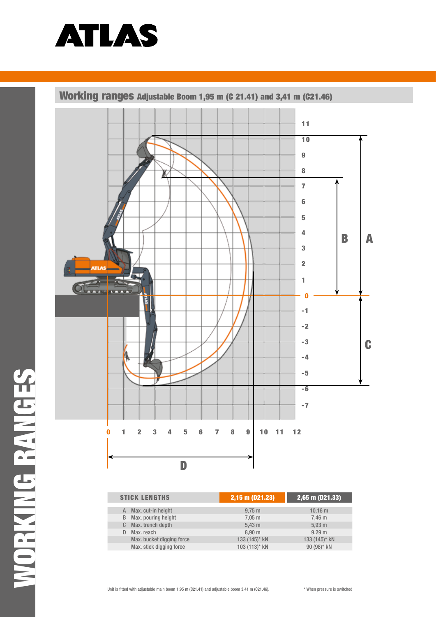

Working ranges adjustable Boom 1,95 m (C 21.41) and 3,41 m (C21.46)



| <b>STICK LENGTHS</b>      | 2,15 m (D21.23)      | $ 2,65 \text{ m} (D21.33) $ |
|---------------------------|----------------------|-----------------------------|
|                           |                      |                             |
| Max. cut-in height<br>A   | $9,75 \; \mathrm{m}$ | 10.16 m                     |
| Max. pouring height<br>B  | $7,05 \; \text{m}$   | 7,46 m                      |
| Max. trench depth<br>C.   | $5,43 \; m$          | 5,93 m                      |
| Max. reach<br>D           | 8.90 <sub>m</sub>    | 9.29 m                      |
| Max. bucket digging force | 133 (145)* kN        | 133 (145)* kN               |
| Max. stick digging force  | 103 (113)* kN        | 90 (98)* kN                 |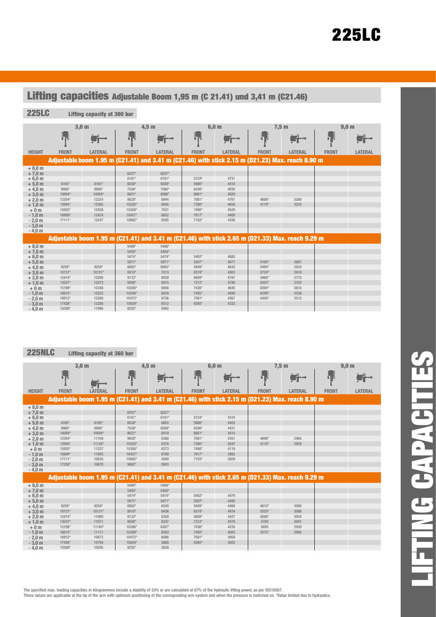| Lifting capacities Adjustable Boom 1,95 m (C 21.41) und 3,41 m (C21.46)                                                                              |                                                                              |                                                                       |                                                                                            |                                                                                     |                                                                               |                                                                      |                         |                                                                                                  |              |                  |
|------------------------------------------------------------------------------------------------------------------------------------------------------|------------------------------------------------------------------------------|-----------------------------------------------------------------------|--------------------------------------------------------------------------------------------|-------------------------------------------------------------------------------------|-------------------------------------------------------------------------------|----------------------------------------------------------------------|-------------------------|--------------------------------------------------------------------------------------------------|--------------|------------------|
| <b>225LC</b>                                                                                                                                         |                                                                              | Lifting capacity at 360 bar                                           |                                                                                            |                                                                                     |                                                                               |                                                                      |                         |                                                                                                  |              |                  |
|                                                                                                                                                      |                                                                              | 3.0 <sub>m</sub>                                                      |                                                                                            | 4.5 <sub>m</sub>                                                                    |                                                                               | 6.0 <sub>m</sub>                                                     |                         | 7.5 <sub>m</sub>                                                                                 |              | 9.0 <sub>m</sub> |
|                                                                                                                                                      | ┠╻┚                                                                          |                                                                       | h۳                                                                                         | H--                                                                                 | hч                                                                            |                                                                      | ПJ.                     |                                                                                                  | <u>ել լ</u>  |                  |
| <b>HEIGHT</b>                                                                                                                                        | <b>FRONT</b>                                                                 | <b>LATERAL</b>                                                        | <b>FRONT</b>                                                                               | LATERAL                                                                             | <b>FRONT</b>                                                                  | LATERAL                                                              | <b>FRONT</b>            | LATERAL                                                                                          | <b>FRONT</b> | <b>LATERAL</b>   |
|                                                                                                                                                      |                                                                              |                                                                       |                                                                                            |                                                                                     |                                                                               |                                                                      |                         | Adjustable boom 1.95 m (C21.41) and 3.41 m (C21.46) with stick 2.15 m (D21.23) Max. reach 8.90 m |              |                  |
| $+8,0 m$<br>$+7.0 m$<br>$+6,0 m$<br>$+5,0 m$<br>$+4,0$ m<br>$+3,0 m$<br>$+2,0 m$<br>$+1,0 m$<br>$+0m$<br>$-1.0 m$<br>$-2.0m$<br>$-3.0 m$<br>$-4.0 m$ | 8165*<br>9968*<br>10094*<br>12354*<br>13945*<br>15925*<br>16889*<br>$17111*$ | 8165*<br>9968*<br>10094*<br>12324<br>12365<br>12458<br>12424<br>12247 | 6257*<br>6161*<br>6638*<br>7526*<br>8631*<br>9628*<br>10220*<br>10358*<br>10437*<br>10692* | 6257*<br>$6161*$<br>6638*<br>7090*<br>6996*<br>6944<br>6945<br>7031<br>6852<br>6595 | 5724*<br>5966*<br>6246*<br>6661*<br>7081*<br>7390*<br>7498*<br>7617*<br>7103* | 4731<br>4818<br>4830<br>4820<br>4761<br>4658<br>4529<br>4400<br>4336 | 4698*<br>4118*          | 3260<br>3224                                                                                     |              |                  |
|                                                                                                                                                      |                                                                              |                                                                       |                                                                                            |                                                                                     |                                                                               |                                                                      |                         | Adjustable boom 1.95 m (C21.41) and 3.41 m (C21.46) with stick 2.65 m (D21.33) Max. reach 9.29 m |              |                  |
| $+8,0 m$<br>$+7,0 m$<br>$+6,0 m$<br>$+5,0 m$                                                                                                         |                                                                              |                                                                       | 5488*<br>$5450*$<br>5474*<br>5971*                                                         | 5488*<br>$5450*$<br>5474*<br>5971*                                                  | 5402*<br>5507*                                                                | 4885<br>4877                                                         | 5100*                   | 3807                                                                                             |              |                  |
| $+4.0 m$                                                                                                                                             | 9259*                                                                        | 9259*<br>$10131*$                                                     | 6865*                                                                                      | 6865*<br>7013                                                                       | 5849*<br>6319*                                                                | 4842<br>4803                                                         | 5494*<br>$5724*$        | 3832<br>3819                                                                                     |              |                  |
| $+3,0 m$<br>$+2.0 m$<br>$+1.0 m$<br>$+0m$                                                                                                            | 10131*<br>12414*<br>13537*<br>15198*                                         | 12298<br>12273<br>12348                                               | 8010*<br>$9133*$<br>9936*<br>10288*                                                        | 6939<br>6915<br>6948                                                                | 6809*<br>7212*<br>7436*                                                       | 4787<br>4788<br>4645                                                 | 5988*<br>6203*<br>6294* | 3773<br>3703<br>3618                                                                             |              |                  |
| $-1.0 m$<br>$-2.0m$<br>$-3.0 m$<br>$-4.0m$                                                                                                           | 16615*<br>16912*<br>17426*<br>15599*                                         | 12522<br>12288<br>12206<br>11996                                      | 10349*<br>10472*<br>10629*<br>8255*                                                        | 6918<br>6736<br>6512<br>6482                                                        | 7492*<br>7581*<br>6365*                                                       | 4490<br>4367<br>4332                                                 | 6299*<br>4456*          | 3539<br>3512                                                                                     |              |                  |

## **225NLC** Lifting capacity at 360 bar

|               | 3,0 <sub>m</sub> |                                                                                                  | $4,5$ m      |                | 6,0 m        |                | $7,5$ m      |                | 9,0 <sub>m</sub> |                |
|---------------|------------------|--------------------------------------------------------------------------------------------------|--------------|----------------|--------------|----------------|--------------|----------------|------------------|----------------|
|               | hγ               | $\blacksquare$                                                                                   | h.           | ir) -          | ١.           | iji -          | h,           | iri -          | Ы.               |                |
| <b>HEIGHT</b> | <b>FRONT</b>     | <b>LATERAL</b>                                                                                   | <b>FRONT</b> | <b>LATERAL</b> | <b>FRONT</b> | <b>LATERAL</b> | <b>FRONT</b> | <b>LATERAL</b> | <b>FRONT</b>     | <b>LATERAL</b> |
|               |                  | Adjustable boom 1.95 m (C21.41) and 3.41 m (C21.46) with stick 2.15 m (D21.23) Max. reach 8.90 m |              |                |              |                |              |                |                  |                |
| $+8.0 m$      |                  |                                                                                                  |              |                |              |                |              |                |                  |                |
| $+7,0 m$      |                  |                                                                                                  | 6257*        | 6257*          |              |                |              |                |                  |                |
| $+6,0 m$      |                  |                                                                                                  | 6161*        | 6161*          | 5724*        | 4316           |              |                |                  |                |
| $+5,0 m$      | 8165*            | 8165*                                                                                            | 6638*        | 6603           | 5966*        | 4403           |              |                |                  |                |
| $+4.0 m$      | 9968*            | 9968*                                                                                            | 7526*        | 6508*          | 6246*        | 4431           |              |                |                  |                |
| $+3,0$ m      | 10094*           | 10094*                                                                                           | 8631*        | 6419           | 6661*        | 4414           |              |                |                  |                |
| $+2,0 m$      | 12354*           | 11109                                                                                            | 9628*        | 6368           | 7081*        | 4351           | 4698*        | 2964           |                  |                |
| $+1,0$ m      | 13945*           | 11135*                                                                                           | 10220*       | 6378           | 7390*        | 4247           | $4118*$      | 2928           |                  |                |
| $+0m$         | 15925*           | 11237                                                                                            | 10358*       | 6373           | 7498*        | 4119           |              |                |                  |                |
| $-1,0$ m      | 16889*           | 11003                                                                                            | 10437*       | 6199           | 7617*        | 3992           |              |                |                  |                |
| $-2,0$ m      | 17111*           | 10835                                                                                            | 10692*       | 5949           | 7103*        | 3929           |              |                |                  |                |
| $-3.0 m$      | 17259*           | 10670                                                                                            | 9882*        | 5843           |              |                |              |                |                  |                |
| $-4.0 m$      |                  |                                                                                                  |              |                |              |                |              |                |                  |                |
|               |                  | Adjustable boom 1.95 m (C21.41) and 3.41 m (C21.46) with stick 2.65 m (D21.33) Max. reach 9.29 m |              |                |              |                |              |                |                  |                |
| $+8,0 m$      |                  |                                                                                                  | 5488*        | 5488*          |              |                |              |                |                  |                |
| $+7,0 m$      |                  |                                                                                                  | 5450*        | 5450*          |              |                |              |                |                  |                |
| $+6,0 m$      |                  |                                                                                                  | 5474*        | 5474*          | 5402*        | 4479           |              |                |                  |                |
| $+5.0 m$      |                  |                                                                                                  | 5971*        | 5971*          | 5507*        | 4495           |              |                |                  |                |
| $+4.0 m$      | 9259*            | 9259*                                                                                            | 6865*        | 6549           | 5849*        | 4466           | 4610*        | 3089           |                  |                |
| $+3.0 m$      | 10131*           | 10131*                                                                                           | 8010*        | 6436           | 6319*        | 4434           | 5520*        | 3086           |                  |                |
| $+2.0 m$      | 12414*           | 11089                                                                                            | 9133*        | 6359           | 6809*        | 4427           | 5686*        | 3054           |                  |                |
| $+1,0$ m      | 13537*           | 11071                                                                                            | 9936*        | 6337           | 7212*        | 4378           | 5760         | 3001           |                  |                |
| $+0m$         | 15198*           | 11140*                                                                                           | 10288*       | 6387*          | 7436*        | 4235           | 5695         | 2939           |                  |                |
| $-1.0 m$      | 16615*           | 11111                                                                                            | $10349*$     | 6263           | 7492*        | 4083           | $3572*$      | 2905           |                  |                |
| $-2.0 m$      | 16912*           | 10872                                                                                            | 10472*       | 6086           | 7581*        | 3959           |              |                |                  |                |
| $-3.0 m$      | 17426*           | 10794                                                                                            | 10629*       | 5868           | 6365*        | 3925           |              |                |                  |                |
| $-4.0 m$      | 15599*           | 10595                                                                                            | 8255*        | 5839           |              |                |              |                |                  |                |

LIFTING CAPACITIES**LIFTING CAPACITI** 

 $\mathbf{r}$ 

The specified max. loading capacities in kilogrammes include a stability of 33% or are calculated at 87% of the hydraulic lifting power, as per ISO10567.

These values are applicable at the tip of the arm with optimum positioning of the corresponding arm system and when the pressure is switched on. \*Value limited due to hydraulics.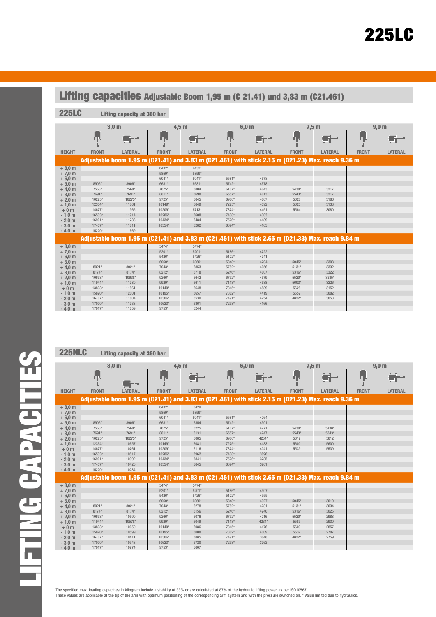| Lifting capacities Adjustable Boom 1,95 m (C 21.41) und 3,83 m (C21.461)                                                                             |                                                                                               |                                                                                         |                                                                                                               |                                                                                                     |                                                                                        |                                                                              |                                        |                                      |              |                  |
|------------------------------------------------------------------------------------------------------------------------------------------------------|-----------------------------------------------------------------------------------------------|-----------------------------------------------------------------------------------------|---------------------------------------------------------------------------------------------------------------|-----------------------------------------------------------------------------------------------------|----------------------------------------------------------------------------------------|------------------------------------------------------------------------------|----------------------------------------|--------------------------------------|--------------|------------------|
| <b>225LC</b><br>Lifting capacity at 360 bar                                                                                                          |                                                                                               |                                                                                         |                                                                                                               |                                                                                                     |                                                                                        |                                                                              |                                        |                                      |              |                  |
|                                                                                                                                                      |                                                                                               | 3.0 <sub>m</sub>                                                                        | 4.5 <sub>m</sub>                                                                                              |                                                                                                     |                                                                                        | 6.0 <sub>m</sub>                                                             |                                        | 7,5m                                 |              | 9.0 <sub>m</sub> |
|                                                                                                                                                      | ijВ,                                                                                          |                                                                                         | لرزا                                                                                                          |                                                                                                     | he                                                                                     |                                                                              | ┠┑╏                                    |                                      | Ь.           |                  |
| <b>HEIGHT</b>                                                                                                                                        | <b>FRONT</b>                                                                                  | <b>LATERAL</b>                                                                          | <b>FRONT</b>                                                                                                  | <b>LATERAL</b>                                                                                      | <b>FRONT</b>                                                                           | <b>LATERAL</b>                                                               | <b>FRONT</b>                           | <b>LATERAL</b>                       | <b>FRONT</b> | <b>LATERAL</b>   |
|                                                                                                                                                      |                                                                                               |                                                                                         |                                                                                                               | Adjustable boom 1.95 m (C21.41) and 3.83 m (C21.461) with stick 2.15 m (D21.23) Max. reach 9.36 m   |                                                                                        |                                                                              |                                        |                                      |              |                  |
| $+8,0 m$<br>$+7,0 m$<br>$+6.0 m$<br>$+5,0 m$<br>$+4,0 m$<br>$+3,0 m$<br>$+2.0 m$<br>$+1,0 m$<br>$+0m$<br>$-1.0 m$<br>$-2.0m$<br>$-3,0 m$<br>$-4.0 m$ | 8906*<br>7568*<br>7691*<br>10275*<br>12354*<br>14677*<br>16533*<br>16901*<br>17457*<br>15220* | 8906*<br>7568*<br>7691*<br>10275*<br>11861<br>11965<br>11914<br>11783<br>11811<br>11669 | 6432*<br>5859*<br>6041*<br>6681*<br>7675*<br>8811*<br>9725*<br>10149*<br>10209*<br>10286*<br>10434*<br>10554* | 6432*<br>5859*<br>$6041*$<br>6681*<br>6804<br>6698<br>6645<br>6649<br>6713*<br>6608<br>6484<br>6282 | 5581*<br>5742*<br>6107*<br>6557*<br>6980*<br>7275*<br>7374*<br>7438*<br>7526*<br>6094* | 4678<br>4678<br>4643<br>4613<br>4607<br>4592<br>4451<br>4303<br>4189<br>4165 | 5438*<br>5543*<br>5628<br>5625<br>5564 | 3217<br>3217<br>3186<br>3138<br>3080 |              |                  |
|                                                                                                                                                      |                                                                                               |                                                                                         |                                                                                                               | Adjustable boom 1.95 m (C21.41) and 3.83 m (C21.461) with stick 2.65 m (D21.33) Max. reach 9.84 m   |                                                                                        |                                                                              |                                        |                                      |              |                  |
| $+8,0 m$<br>$+7,0 m$<br>$+6.0 m$<br>$+5,0 m$                                                                                                         |                                                                                               |                                                                                         | 5474*<br>5201*<br>5426*<br>6060*                                                                              | 5474*<br>5201*<br>$5426*$<br>6060*                                                                  | 5186*<br>$5122*$<br>5348*                                                              | 4722<br>4741<br>4704                                                         | 5045*                                  | 3308                                 |              |                  |
| $+4.0 m$<br>$+3,0 m$<br>$+2,0 m$<br>$+1,0 m$                                                                                                         | 8021*<br>8174*<br>10638*<br>11944*                                                            | 8021*<br>8174*<br>10638*<br>11780                                                       | 7043*<br>8212*<br>9266*<br>9929*                                                                              | 6853<br>6718<br>6642<br>6611                                                                        | 5752*<br>6246*<br>6732*<br>$7113*$                                                     | 4656<br>4607<br>4579<br>4588                                                 | $5131*$<br>5316*<br>5520*<br>5603*     | 3332<br>3322<br>3285*<br>3226        |              |                  |
| $+0m$<br>$-1,0$ m<br>$-2.0m$<br>$-3,0 m$<br>$-4.0m$                                                                                                  | 13833*<br>15820*<br>16707*<br>17000*<br>17017*                                                | 11861<br>12001<br>11804<br>11738<br>11659                                               | 10140*<br>10195*<br>10306*<br>10623*<br>9753*                                                                 | 6648<br>6657<br>6530<br>6361<br>6244                                                                | 7315*<br>7362*<br>7491*<br>7238*                                                       | 4589<br>4419<br>4254<br>4166                                                 | 5628<br>5557<br>4822*                  | 3152<br>3082<br>3053                 |              |                  |

## **225NLC** Lifting capacity at 360 bar

|               | 3,0 <sub>m</sub> |                                                                                                   | $4,5$ m      |                | 6,0 m        |                | 7,5m         |                | 9,0 <sub>m</sub> |                |
|---------------|------------------|---------------------------------------------------------------------------------------------------|--------------|----------------|--------------|----------------|--------------|----------------|------------------|----------------|
|               | 'nн              | SH-1                                                                                              | 'nЧ          |                | h v          |                | <u>ון דו</u> | r) –           | h J              |                |
| <b>HEIGHT</b> | <b>FRONT</b>     | LATERAL                                                                                           | <b>FRONT</b> | <b>LATERAL</b> | <b>FRONT</b> | <b>LATERAL</b> | <b>FRONT</b> | <b>LATERAL</b> | <b>FRONT</b>     | <b>LATERAL</b> |
|               |                  | Adjustable boom 1.95 m (C21.41) and 3.83 m (C21.461) with stick 2.15 m (D21.23) Max. reach 9.36 m |              |                |              |                |              |                |                  |                |
| $+8,0 m$      |                  |                                                                                                   | 6432*        | 6429           |              |                |              |                |                  |                |
| $+7,0 m$      |                  |                                                                                                   | 5859*        | 5859*          |              |                |              |                |                  |                |
| $+6,0 m$      |                  |                                                                                                   | 6041*        | 6041*          | 5581*        | 4264           |              |                |                  |                |
| $+5,0 m$      | 8906*            | 8906*                                                                                             | 6681*        | 6354           | 5742*        | 4301           |              |                |                  |                |
| $+4,0 m$      | 7568*            | 7568*                                                                                             | 7675*        | 6225           | 6107*        | 4271           | 5438*        | 5438*          |                  |                |
| $+3,0 m$      | 7691*            | 7691*                                                                                             | 8811*        | 6131           | 6557*        | 4247           | 5543*        | 5543*          |                  |                |
| $+2,0 m$      | 10275*           | 10275*                                                                                            | 9725*        | 6085           | 6980*        | 4254*          | 5612         | 5612           |                  |                |
| $+1,0$ m      | 12354*           | 10657                                                                                             | 10149*       | 6081           | 7275*        | 4183           | 5600         | 5600           |                  |                |
| $+0m$         | 14677*           | 10761                                                                                             | 10209*       | 6116           | 7374*        | 4041           | 5539         | 5539           |                  |                |
| $-1,0$ m      | 16533*           | 10517                                                                                             | 10286*       | 5962           | 7438*        | 3896           |              |                |                  |                |
| $-2,0$ m      | 16901*           | 10392                                                                                             | 10434*       | 5841           | 7526*        | 3785           |              |                |                  |                |
| $-3,0 m$      | 17457*           | 10420                                                                                             | 10554*       | 5645           | 6094*        | 3761           |              |                |                  |                |
| $-4,0$ m      | 15220*           | 10284                                                                                             |              |                |              |                |              |                |                  |                |
|               |                  | Adjustable boom 1.95 m (C21.41) and 3.83 m (C21.461) with stick 2.65 m (D21.33) Max. reach 9.84 m |              |                |              |                |              |                |                  |                |
| $+8,0 m$      |                  |                                                                                                   | 5474*        | 5474*          |              |                |              |                |                  |                |
| $+7,0 m$      |                  |                                                                                                   | 5201*        | 5201*          | 5186*        | 4307           |              |                |                  |                |
| $+6,0 m$      |                  |                                                                                                   | 5426*        | 5426*          | $5122*$      | 4355           |              |                |                  |                |
| $+5,0 m$      |                  |                                                                                                   | 6060*        | 6060*          | 5348*        | 4327           | $5045*$      | 3010           |                  |                |
| $+4,0$ m      | 8021*            | 8021*                                                                                             | 7043*        | 6278           | 5752*        | 4281           | $5131*$      | 3034           |                  |                |
| $+3,0 m$      | 8174*            | 8174*                                                                                             | 8212*        | 6156           | 6246*        | 4240           | 5316*        | 3025           |                  |                |
| $+2,0$ m      | 10638*           | 10590                                                                                             | 9266*        | 6076           | 6732*        | 4216           | 5520*        | 2988           |                  |                |
| $+1,0$ m      | 11944*           | 10578*                                                                                            | 9929*        | 6049           | 7113*        | 4234*          | 5583         | 2930           |                  |                |
| $+0m$         | 13833*           | 10650                                                                                             | $10140*$     | 6086           | 7315*        | 4176           | 5603         | 2857           |                  |                |
| $-1,0$ m      | 15820*           | 10599                                                                                             | 10195*       | 6008           | 7362*        | 4009           | 5532         | 2787           |                  |                |
| $-2,0$ m      | 16707*           | 10411                                                                                             | 10306*       | 5885           | 7491*        | 3848           | 4822*        | 2759           |                  |                |
| $-3,0 m$      | 17000*           | 10348                                                                                             | 10623*       | 5720           | 7238*        | 3762           |              |                |                  |                |
| $-4.0m$       | 17017*           | 10274                                                                                             | 9753*        | 5607           |              |                |              |                |                  |                |

The specified max. loading capacities in kilogram include a stability of 33% or are calculated at 87% of the hydraulic lifting power, as per ISO10567. These values are applicable at the tip of the arm with optimum positioning of the corresponding arm system and with the pressure switched on. \* Value limited due to hydraulics.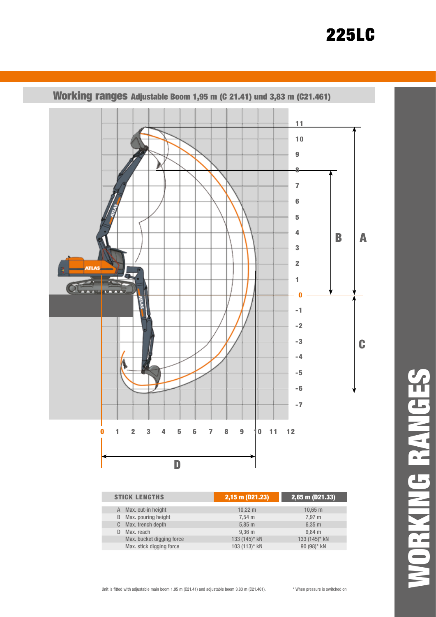# **225LC**



Working ranges adjustable Boom 1,95 m (C 21.41) und 3,83 m (C21.461)

| <b>STICK LENGTHS</b>      | 2,15 m (D21.23)     | $2,65$ m (D21.33) |  |  |
|---------------------------|---------------------|-------------------|--|--|
| Max. cut-in height<br>A   | $10,22 \, \text{m}$ | $10,65 \; m$      |  |  |
| Max. pouring height<br>B  | $7,54 \, \text{m}$  | 7,97 m            |  |  |
| Max. trench depth<br>C.   | $5,85 \; m$         | $6,35 \; m$       |  |  |
| Max. reach<br>D           | 9.36 <sub>m</sub>   | $9.84$ m          |  |  |
| Max. bucket digging force | 133 (145)* kN       | 133 (145)* kN     |  |  |
| Max. stick digging force  | 103 (113)* kN       | 90 (98)* kN       |  |  |

WORKING RANGES**ORKING RANGES**